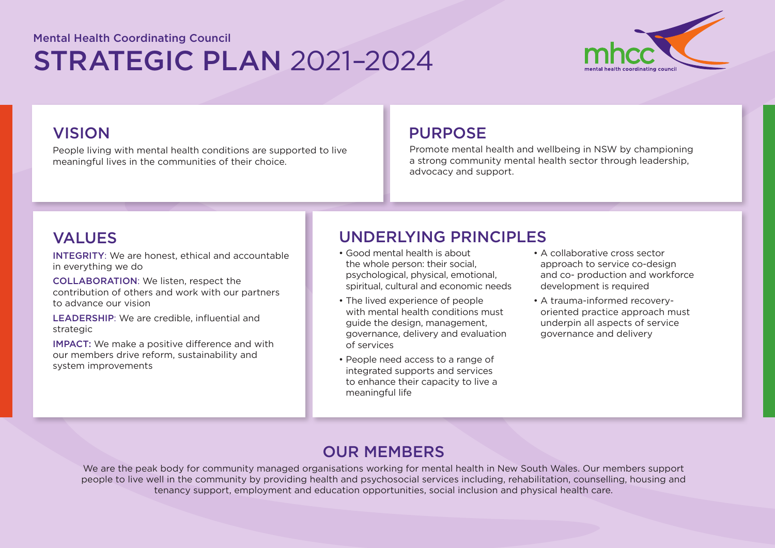# STRATEGIC PLAN 2021–2024 Mental Health Coordinating Council



People living with mental health conditions are supported to live meaningful lives in the communities of their choice.

## VISION DISPONSE

Promote mental health and wellbeing in NSW by championing a strong community mental health sector through leadership, advocacy and support.

INTEGRITY: We are honest, ethical and accountable in everything we do

COLLABORATION: We listen, respect the contribution of others and work with our partners to advance our vision

LEADERSHIP: We are credible, influential and strategic

IMPACT: We make a positive difference and with our members drive reform, sustainability and system improvements

# VALUES UNDERLYING PRINCIPLES

- Good mental health is about the whole person: their social, psychological, physical, emotional, spiritual, cultural and economic needs
- The lived experience of people with mental health conditions must guide the design, management, governance, delivery and evaluation of services
- People need access to a range of integrated supports and services to enhance their capacity to live a meaningful life
- A collaborative cross sector approach to service co-design and co- production and workforce development is required
- A trauma-informed recoveryoriented practice approach must underpin all aspects of service governance and delivery

## OUR MEMBERS

We are the peak body for community managed organisations working for mental health in New South Wales. Our members support people to live well in the community by providing health and psychosocial services including, rehabilitation, counselling, housing and tenancy support, employment and education opportunities, social inclusion and physical health care.